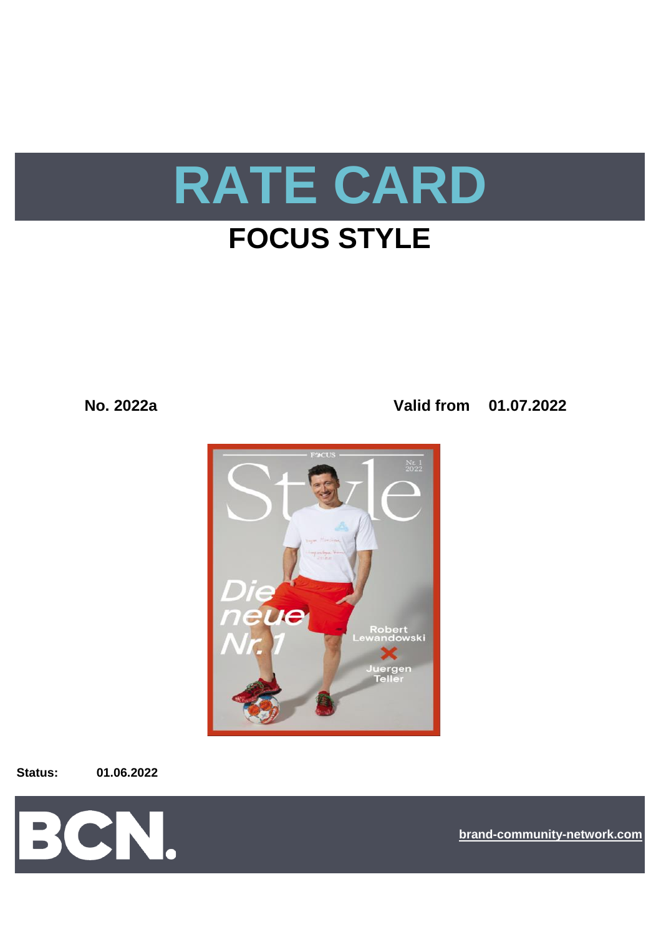

# **FOCUS STYLE**

**No. 2022a Valid from 01.07.2022**



**Status: 01.06.2022**



**[bra](https://bcn.burda.com/)nd-community-network.com**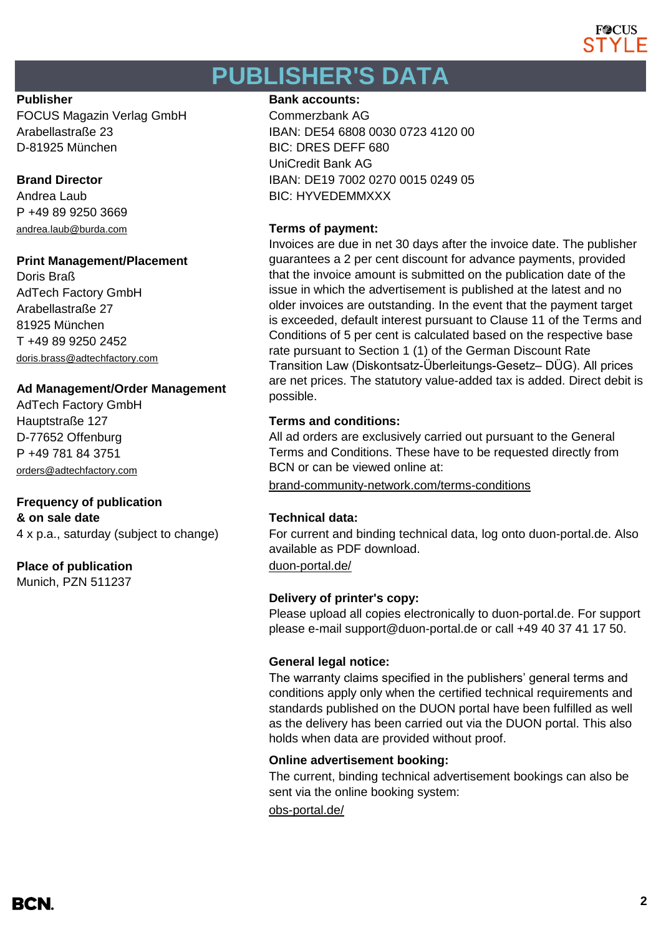

# **PUBLISHER'S DATA**

FOCUS Magazin Verlag GmbH Commerzbank AG D-81925 München BIC: DRES DEFF 680

P +49 89 9250 3669 [andrea.laub@burda.com](mailto:andrea.laub@burda.com) **Terms of payment:**

### **Print Management/Placement**

Doris Braß AdTech Factory GmbH Arabellastraße 27 81925 München T +49 89 9250 2452 [doris.brass@adtechfactory.com](mailto:doris.brass@adtechfactory.com)

### **Ad Management/Order Management**

AdTech Factory GmbH Hauptstraße 127 **Terms and conditions:** D-77652 Offenburg P +49 781 84 3751 [orders@adtechfactory.com](mailto:orders@adtechfactory.com)

### **Frequency of publication**

**& on sale date Technical data:** 4 x p.a., saturday (subject to change)

### **Place of publication** [duon-portal.de/](https://duon-portal.de/)

Munich, PZN 511237

#### **Publisher Bank accounts: Bank accounts:**

Arabellastraße 23 IBAN: DE54 6808 0030 0723 4120 00 UniCredit Bank AG **Brand Director IBAN: DE19 7002 0270 0015 0249 05** Andrea Laub BIC: HYVEDEMMXXX

Invoices are due in net 30 days after the invoice date. The publisher guarantees a 2 per cent discount for advance payments, provided that the invoice amount is submitted on the publication date of the issue in which the advertisement is published at the latest and no older invoices are outstanding. In the event that the payment target is exceeded, default interest pursuant to Clause 11 of the Terms and Conditions of 5 per cent is calculated based on the respective base rate pursuant to Section 1 (1) of the German Discount Rate Transition Law (Diskontsatz-Überleitungs-Gesetz– DÜG). All prices are net prices. The statutory value-added tax is added. Direct debit is possible.

All ad orders are exclusively carried out pursuant to the General Terms and Conditions. These have to be requested directly from BCN or can be viewed online at:

[brand-community-network.com/terms-conditions](https://bcn.burda.com/terms-conditions)

For current and binding technical data, log onto duon-portal.de. Also available as PDF download.

### **Delivery of printer's copy:**

Please upload all copies electronically to duon-portal.de. For support please e-mail support@duon-portal.de or call +49 40 37 41 17 50.

### **General legal notice:**

The warranty claims specified in the publishers' general terms and conditions apply only when the certified technical requirements and standards published on the DUON portal have been fulfilled as well as the delivery has been carried out via the DUON portal. This also holds when data are provided without proof.

### **Online advertisement booking:**

The current, binding technical advertisement bookings can also be sent via the online booking system:

[obs-portal.de/](https://www.obs-portal.de/)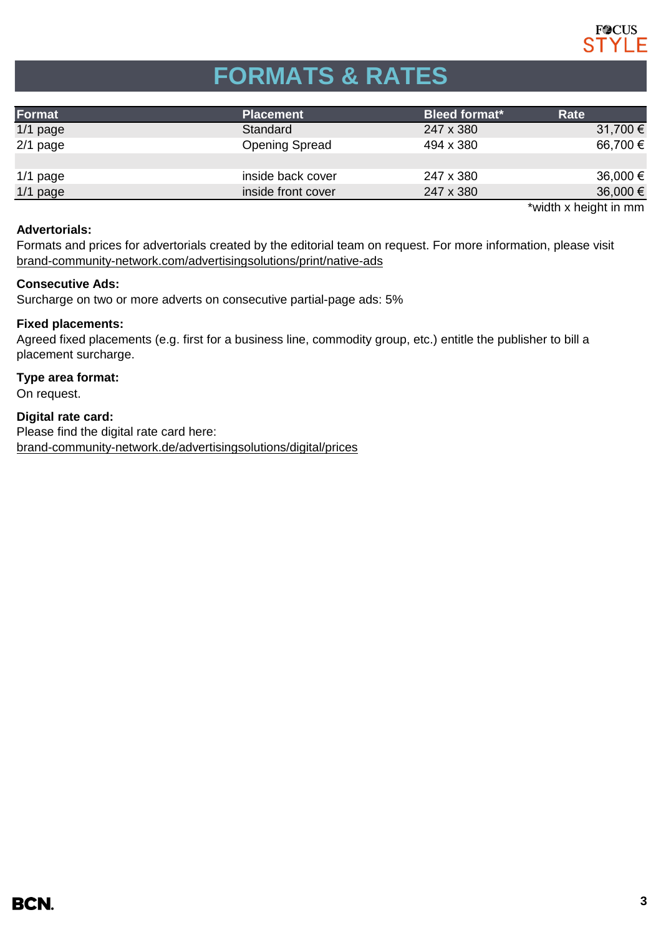

# **FORMATS & RATES**

| Format     | <b>Placement</b>      | <b>Bleed format*</b> | Rate                  |
|------------|-----------------------|----------------------|-----------------------|
| $1/1$ page | Standard              | 247 x 380            | 31,700 €              |
| $2/1$ page | <b>Opening Spread</b> | 494 x 380            | 66,700 €              |
|            |                       |                      |                       |
| $1/1$ page | inside back cover     | 247 x 380            | $36,000 \in$          |
| $1/1$ page | inside front cover    | 247 x 380            | $36,000 \in$          |
|            |                       |                      | *width x height in mm |

### **Advertorials:**

[brand-community-network.com/advertisin](https://bcn.burda.com/advertisingsolutions/print/native-ads)gsolutions/print/native-ads Formats and prices for advertorials created by the editorial team on request. For more information, please visit

#### **Consecutive Ads:**

Surcharge on two or more adverts on consecutive partial-page ads: 5%

#### **Fixed placements:**

Agreed fixed placements (e.g. first for a business line, commodity group, etc.) entitle the publisher to bill a placement surcharge.

#### **Type area format:**

On request.

**Digital rate card:**

Please find the digital rate card here: [brand-community-network.de/advertisingsolutions/digital/prices](https://bcn.burda.com/advertisingsolutions/digital/prices)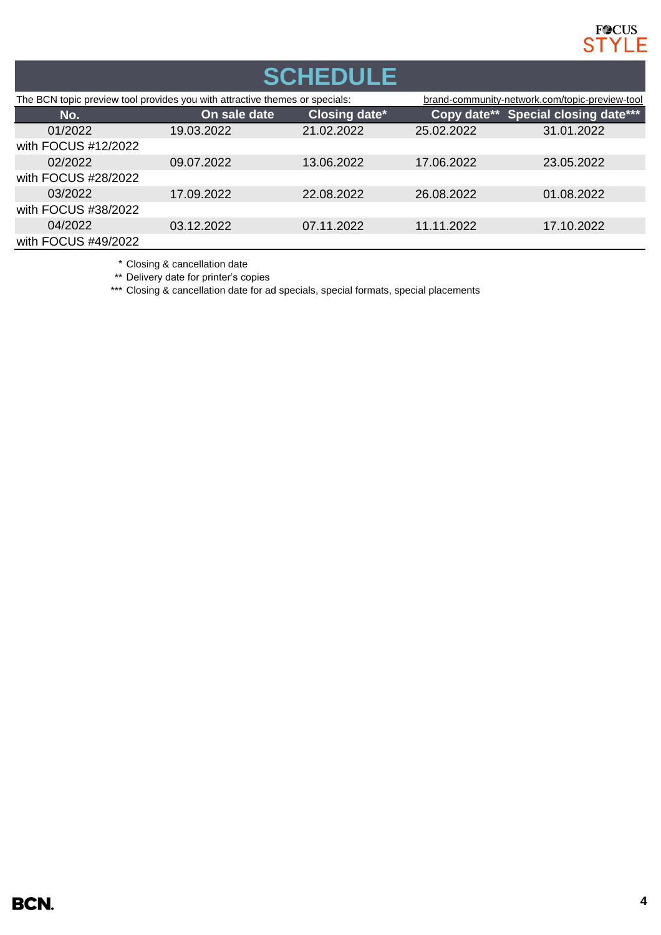

| <b>SCHEDULE</b>                                                             |              |               |                                                |                                     |  |  |
|-----------------------------------------------------------------------------|--------------|---------------|------------------------------------------------|-------------------------------------|--|--|
| The BCN topic preview tool provides you with attractive themes or specials: |              |               | brand-community-network.com/topic-preview-tool |                                     |  |  |
| No.                                                                         | On sale date | Closing date* |                                                | Copy date** Special closing date*** |  |  |
| 01/2022                                                                     | 19.03.2022   | 21.02.2022    | 25.02.2022                                     | 31.01.2022                          |  |  |
| with FOCUS #12/2022                                                         |              |               |                                                |                                     |  |  |
| 02/2022                                                                     | 09.07.2022   | 13.06.2022    | 17.06.2022                                     | 23.05.2022                          |  |  |
| with FOCUS #28/2022                                                         |              |               |                                                |                                     |  |  |
| 03/2022                                                                     | 17.09.2022   | 22.08.2022    | 26.08.2022                                     | 01.08.2022                          |  |  |
| with FOCUS #38/2022                                                         |              |               |                                                |                                     |  |  |
| 04/2022                                                                     | 03.12.2022   | 07.11.2022    | 11.11.2022                                     | 17.10.2022                          |  |  |
| with FOCUS #49/2022                                                         |              |               |                                                |                                     |  |  |

\* Closing & cancellation date

\*\* Delivery date for printer's copies

\*\*\* Closing & cancellation date for ad specials, special formats, special placements